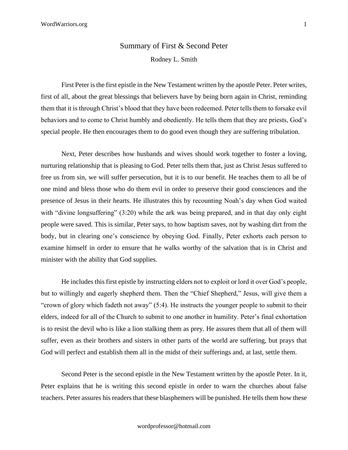## Summary of First & Second Peter

Rodney L. Smith

First Peter is the first epistle in the New Testament written by the apostle Peter. Peter writes, first of all, about the great blessings that believers have by being born again in Christ, reminding them that it is through Christ's blood that they have been redeemed. Peter tells them to forsake evil behaviors and to come to Christ humbly and obediently. He tells them that they are priests, God's special people. He then encourages them to do good even though they are suffering tribulation.

Next, Peter describes how husbands and wives should work together to foster a loving, nurturing relationship that is pleasing to God. Peter tells them that, just as Christ Jesus suffered to free us from sin, we will suffer persecution, but it is to our benefit. He teaches them to all be of one mind and bless those who do them evil in order to preserve their good consciences and the presence of Jesus in their hearts. He illustrates this by recounting Noah's day when God waited with "divine longsuffering" (3:20) while the ark was being prepared, and in that day only eight people were saved. This is similar, Peter says, to how baptism saves, not by washing dirt from the body, but in clearing one's conscience by obeying God. Finally, Peter exhorts each person to examine himself in order to ensure that he walks worthy of the salvation that is in Christ and minister with the ability that God supplies.

He includes this first epistle by instructing elders not to exploit or lord it over God's people, but to willingly and eagerly shepherd them. Then the "Chief Shepherd," Jesus, will give them a "crown of glory which fadeth not away" (5:4). He instructs the younger people to submit to their elders, indeed for all of the Church to submit to one another in humility. Peter's final exhortation is to resist the devil who is like a lion stalking them as prey. He assures them that all of them will suffer, even as their brothers and sisters in other parts of the world are suffering, but prays that God will perfect and establish them all in the midst of their sufferings and, at last, settle them.

Second Peter is the second epistle in the New Testament written by the apostle Peter. In it, Peter explains that he is writing this second epistle in order to warn the churches about false teachers. Peter assures his readers that these blasphemers will be punished. He tells them how these